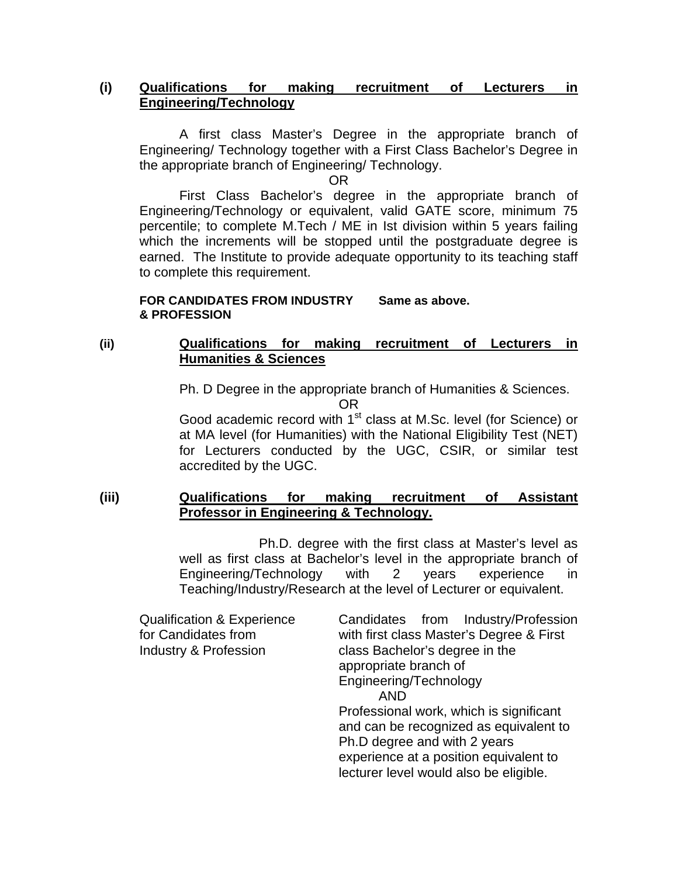### **(i) Qualifications for making recruitment of Lecturers in Engineering/Technology**

 A first class Master's Degree in the appropriate branch of Engineering/ Technology together with a First Class Bachelor's Degree in the appropriate branch of Engineering/ Technology.

OR

 First Class Bachelor's degree in the appropriate branch of Engineering/Technology or equivalent, valid GATE score, minimum 75 percentile; to complete M.Tech / ME in Ist division within 5 years failing which the increments will be stopped until the postgraduate degree is earned. The Institute to provide adequate opportunity to its teaching staff to complete this requirement.

#### **FOR CANDIDATES FROM INDUSTRY Same as above. & PROFESSION**

# **(ii) Qualifications for making recruitment of Lecturers in Humanities & Sciences**

Ph. D Degree in the appropriate branch of Humanities & Sciences.

Good academic record with 1<sup>st</sup> class at M.Sc. level (for Science) or at MA level (for Humanities) with the National Eligibility Test (NET) for Lecturers conducted by the UGC, CSIR, or similar test accredited by the UGC.

# **(iii) Qualifications for making recruitment of Assistant Professor in Engineering & Technology.**

 Ph.D. degree with the first class at Master's level as well as first class at Bachelor's level in the appropriate branch of Engineering/Technology with 2 years experience in Teaching/Industry/Research at the level of Lecturer or equivalent.

| Candidates from Industry/Profession                                                                                                                                                                   |
|-------------------------------------------------------------------------------------------------------------------------------------------------------------------------------------------------------|
| with first class Master's Degree & First                                                                                                                                                              |
| class Bachelor's degree in the                                                                                                                                                                        |
| appropriate branch of                                                                                                                                                                                 |
| Engineering/Technology                                                                                                                                                                                |
| <b>AND</b>                                                                                                                                                                                            |
| Professional work, which is significant<br>and can be recognized as equivalent to<br>Ph.D degree and with 2 years<br>experience at a position equivalent to<br>lecturer level would also be eligible. |
|                                                                                                                                                                                                       |
|                                                                                                                                                                                                       |

**OR** Service Service Service Service Service Service Service Service Service Service Service Service Service Service Service Service Service Service Service Service Service Service Service Service Service Service Service S